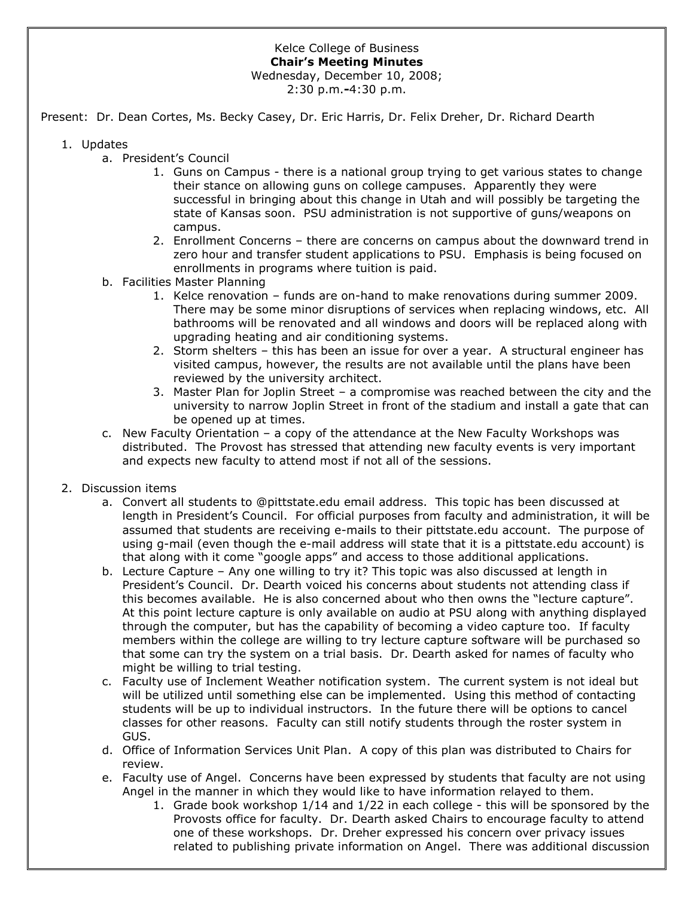## Kelce College of Business **Chair's Meeting Minutes** Wednesday, December 10, 2008;

2:30 p.m.**-**4:30 p.m.

Present: Dr. Dean Cortes, Ms. Becky Casey, Dr. Eric Harris, Dr. Felix Dreher, Dr. Richard Dearth

- 1. Updates
	- a. President's Council
		- 1. Guns on Campus there is a national group trying to get various states to change their stance on allowing guns on college campuses. Apparently they were successful in bringing about this change in Utah and will possibly be targeting the state of Kansas soon. PSU administration is not supportive of guns/weapons on campus.
		- 2. Enrollment Concerns there are concerns on campus about the downward trend in zero hour and transfer student applications to PSU. Emphasis is being focused on enrollments in programs where tuition is paid.
	- b. Facilities Master Planning
		- 1. Kelce renovation funds are on-hand to make renovations during summer 2009. There may be some minor disruptions of services when replacing windows, etc. All bathrooms will be renovated and all windows and doors will be replaced along with upgrading heating and air conditioning systems.
		- 2. Storm shelters this has been an issue for over a year. A structural engineer has visited campus, however, the results are not available until the plans have been reviewed by the university architect.
		- 3. Master Plan for Joplin Street a compromise was reached between the city and the university to narrow Joplin Street in front of the stadium and install a gate that can be opened up at times.
	- c. New Faculty Orientation a copy of the attendance at the New Faculty Workshops was distributed. The Provost has stressed that attending new faculty events is very important and expects new faculty to attend most if not all of the sessions.
- 2. Discussion items
	- a. Convert all students to @pittstate.edu email address. This topic has been discussed at length in President's Council. For official purposes from faculty and administration, it will be assumed that students are receiving e-mails to their pittstate.edu account. The purpose of using g-mail (even though the e-mail address will state that it is a pittstate.edu account) is that along with it come "google apps" and access to those additional applications.
	- b. Lecture Capture Any one willing to try it? This topic was also discussed at length in President's Council. Dr. Dearth voiced his concerns about students not attending class if this becomes available. He is also concerned about who then owns the "lecture capture". At this point lecture capture is only available on audio at PSU along with anything displayed through the computer, but has the capability of becoming a video capture too. If faculty members within the college are willing to try lecture capture software will be purchased so that some can try the system on a trial basis. Dr. Dearth asked for names of faculty who might be willing to trial testing.
	- c. Faculty use of Inclement Weather notification system. The current system is not ideal but will be utilized until something else can be implemented. Using this method of contacting students will be up to individual instructors. In the future there will be options to cancel classes for other reasons. Faculty can still notify students through the roster system in GUS.
	- d. Office of Information Services Unit Plan. A copy of this plan was distributed to Chairs for review.
	- e. Faculty use of Angel. Concerns have been expressed by students that faculty are not using Angel in the manner in which they would like to have information relayed to them.
		- 1. Grade book workshop 1/14 and 1/22 in each college this will be sponsored by the Provosts office for faculty. Dr. Dearth asked Chairs to encourage faculty to attend one of these workshops. Dr. Dreher expressed his concern over privacy issues related to publishing private information on Angel. There was additional discussion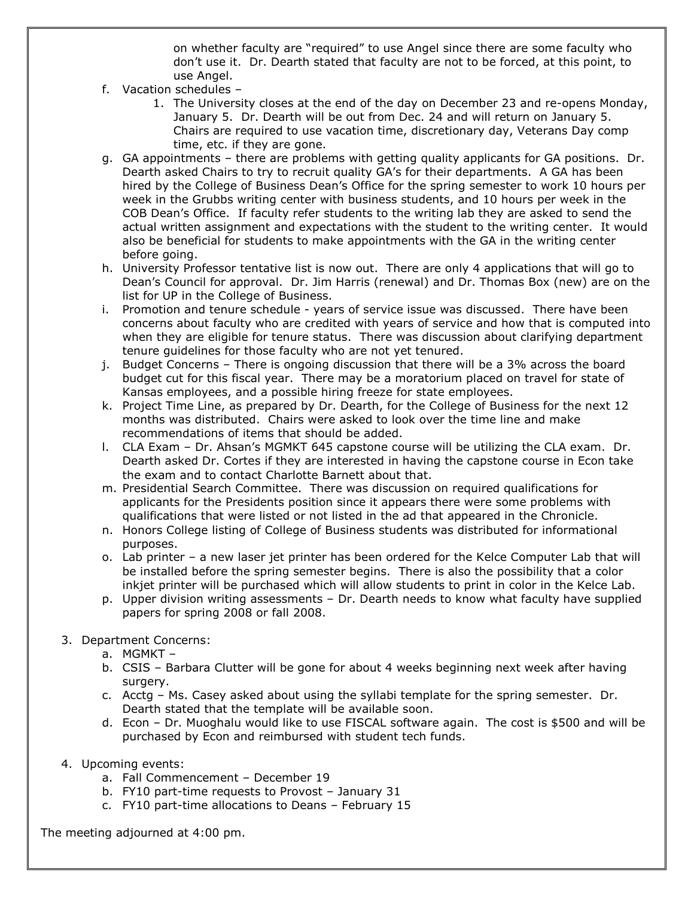on whether faculty are "required" to use Angel since there are some faculty who don't use it. Dr. Dearth stated that faculty are not to be forced, at this point, to use Angel.

- f. Vacation schedules
	- 1. The University closes at the end of the day on December 23 and re-opens Monday, January 5. Dr. Dearth will be out from Dec. 24 and will return on January 5. Chairs are required to use vacation time, discretionary day, Veterans Day comp time, etc. if they are gone.
- g. GA appointments there are problems with getting quality applicants for GA positions. Dr. Dearth asked Chairs to try to recruit quality GA's for their departments. A GA has been hired by the College of Business Dean's Office for the spring semester to work 10 hours per week in the Grubbs writing center with business students, and 10 hours per week in the COB Dean's Office. If faculty refer students to the writing lab they are asked to send the actual written assignment and expectations with the student to the writing center. It would also be beneficial for students to make appointments with the GA in the writing center before going.
- h. University Professor tentative list is now out. There are only 4 applications that will go to Dean's Council for approval. Dr. Jim Harris (renewal) and Dr. Thomas Box (new) are on the list for UP in the College of Business.
- i. Promotion and tenure schedule years of service issue was discussed. There have been concerns about faculty who are credited with years of service and how that is computed into when they are eligible for tenure status. There was discussion about clarifying department tenure guidelines for those faculty who are not yet tenured.
- j. Budget Concerns There is ongoing discussion that there will be a 3% across the board budget cut for this fiscal year. There may be a moratorium placed on travel for state of Kansas employees, and a possible hiring freeze for state employees.
- k. Project Time Line, as prepared by Dr. Dearth, for the College of Business for the next 12 months was distributed. Chairs were asked to look over the time line and make recommendations of items that should be added.
- l. CLA Exam Dr. Ahsan's MGMKT 645 capstone course will be utilizing the CLA exam. Dr. Dearth asked Dr. Cortes if they are interested in having the capstone course in Econ take the exam and to contact Charlotte Barnett about that.
- m. Presidential Search Committee. There was discussion on required qualifications for applicants for the Presidents position since it appears there were some problems with qualifications that were listed or not listed in the ad that appeared in the Chronicle.
- n. Honors College listing of College of Business students was distributed for informational purposes.
- o. Lab printer a new laser jet printer has been ordered for the Kelce Computer Lab that will be installed before the spring semester begins. There is also the possibility that a color inkjet printer will be purchased which will allow students to print in color in the Kelce Lab.
- p. Upper division writing assessments Dr. Dearth needs to know what faculty have supplied papers for spring 2008 or fall 2008.
- 3. Department Concerns:
	- a. MGMKT –
	- b. CSIS Barbara Clutter will be gone for about 4 weeks beginning next week after having surgery.
	- c. Acctg Ms. Casey asked about using the syllabi template for the spring semester. Dr. Dearth stated that the template will be available soon.
	- d. Econ Dr. Muoghalu would like to use FISCAL software again. The cost is \$500 and will be purchased by Econ and reimbursed with student tech funds.
- 4. Upcoming events:
	- a. Fall Commencement December 19
	- b. FY10 part-time requests to Provost January 31
	- c. FY10 part-time allocations to Deans February 15

The meeting adjourned at 4:00 pm.